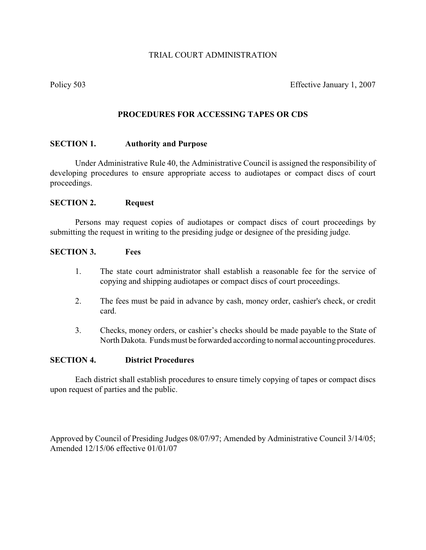# TRIAL COURT ADMINISTRATION

Policy 503 Effective January 1, 2007

# **PROCEDURES FOR ACCESSING TAPES OR CDS**

#### **SECTION 1. Authority and Purpose**

Under Administrative Rule 40, the Administrative Council is assigned the responsibility of developing procedures to ensure appropriate access to audiotapes or compact discs of court proceedings.

#### **SECTION 2. Request**

Persons may request copies of audiotapes or compact discs of court proceedings by submitting the request in writing to the presiding judge or designee of the presiding judge.

## **SECTION 3. Fees**

- 1. The state court administrator shall establish a reasonable fee for the service of copying and shipping audiotapes or compact discs of court proceedings.
- 2. The fees must be paid in advance by cash, money order, cashier's check, or credit card.
- 3. Checks, money orders, or cashier's checks should be made payable to the State of North Dakota. Funds must be forwarded according to normal accounting procedures.

### **SECTION 4. District Procedures**

Each district shall establish procedures to ensure timely copying of tapes or compact discs upon request of parties and the public.

Approved by Council of Presiding Judges 08/07/97; Amended by Administrative Council 3/14/05; Amended 12/15/06 effective 01/01/07